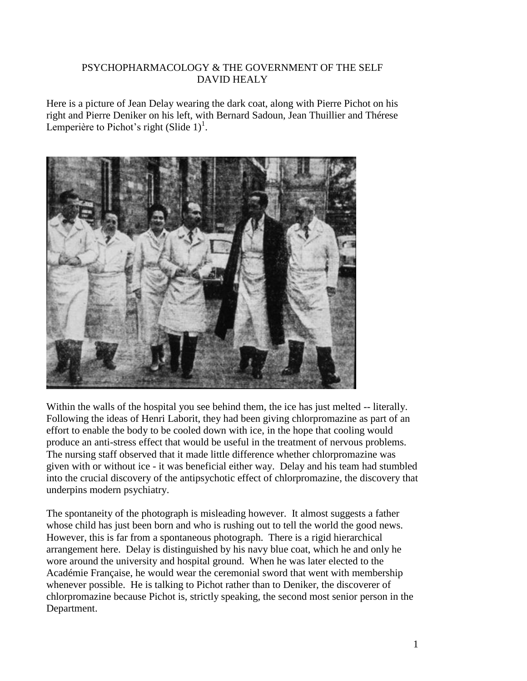## PSYCHOPHARMACOLOGY & THE GOVERNMENT OF THE SELF DAVID HEALY

Here is a picture of Jean Delay wearing the dark coat, along with Pierre Pichot on his right and Pierre Deniker on his left, with Bernard Sadoun, Jean Thuillier and Thérese Lemperière to Pichot's right (Slide  $1$ )<sup>1</sup>.



Within the walls of the hospital you see behind them, the ice has just melted -- literally. Following the ideas of Henri Laborit, they had been giving chlorpromazine as part of an effort to enable the body to be cooled down with ice, in the hope that cooling would produce an anti-stress effect that would be useful in the treatment of nervous problems. The nursing staff observed that it made little difference whether chlorpromazine was given with or without ice - it was beneficial either way. Delay and his team had stumbled into the crucial discovery of the antipsychotic effect of chlorpromazine, the discovery that underpins modern psychiatry.

The spontaneity of the photograph is misleading however. It almost suggests a father whose child has just been born and who is rushing out to tell the world the good news. However, this is far from a spontaneous photograph. There is a rigid hierarchical arrangement here. Delay is distinguished by his navy blue coat, which he and only he wore around the university and hospital ground. When he was later elected to the Académie Française, he would wear the ceremonial sword that went with membership whenever possible. He is talking to Pichot rather than to Deniker, the discoverer of chlorpromazine because Pichot is, strictly speaking, the second most senior person in the Department.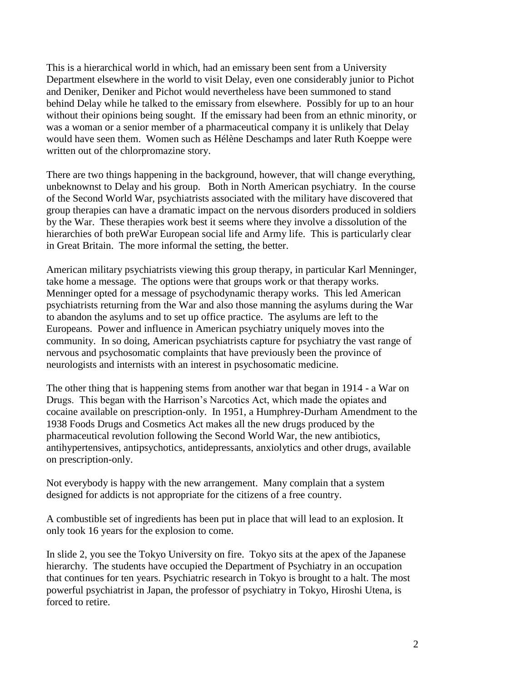This is a hierarchical world in which, had an emissary been sent from a University Department elsewhere in the world to visit Delay, even one considerably junior to Pichot and Deniker, Deniker and Pichot would nevertheless have been summoned to stand behind Delay while he talked to the emissary from elsewhere. Possibly for up to an hour without their opinions being sought. If the emissary had been from an ethnic minority, or was a woman or a senior member of a pharmaceutical company it is unlikely that Delay would have seen them. Women such as Hélène Deschamps and later Ruth Koeppe were written out of the chlorpromazine story.

There are two things happening in the background, however, that will change everything, unbeknownst to Delay and his group. Both in North American psychiatry. In the course of the Second World War, psychiatrists associated with the military have discovered that group therapies can have a dramatic impact on the nervous disorders produced in soldiers by the War. These therapies work best it seems where they involve a dissolution of the hierarchies of both preWar European social life and Army life. This is particularly clear in Great Britain. The more informal the setting, the better.

American military psychiatrists viewing this group therapy, in particular Karl Menninger, take home a message. The options were that groups work or that therapy works. Menninger opted for a message of psychodynamic therapy works. This led American psychiatrists returning from the War and also those manning the asylums during the War to abandon the asylums and to set up office practice. The asylums are left to the Europeans. Power and influence in American psychiatry uniquely moves into the community. In so doing, American psychiatrists capture for psychiatry the vast range of nervous and psychosomatic complaints that have previously been the province of neurologists and internists with an interest in psychosomatic medicine.

The other thing that is happening stems from another war that began in 1914 - a War on Drugs. This began with the Harrison's Narcotics Act, which made the opiates and cocaine available on prescription-only. In 1951, a Humphrey-Durham Amendment to the 1938 Foods Drugs and Cosmetics Act makes all the new drugs produced by the pharmaceutical revolution following the Second World War, the new antibiotics, antihypertensives, antipsychotics, antidepressants, anxiolytics and other drugs, available on prescription-only.

Not everybody is happy with the new arrangement. Many complain that a system designed for addicts is not appropriate for the citizens of a free country.

A combustible set of ingredients has been put in place that will lead to an explosion. It only took 16 years for the explosion to come.

In slide 2, you see the Tokyo University on fire. Tokyo sits at the apex of the Japanese hierarchy. The students have occupied the Department of Psychiatry in an occupation that continues for ten years. Psychiatric research in Tokyo is brought to a halt. The most powerful psychiatrist in Japan, the professor of psychiatry in Tokyo, Hiroshi Utena, is forced to retire.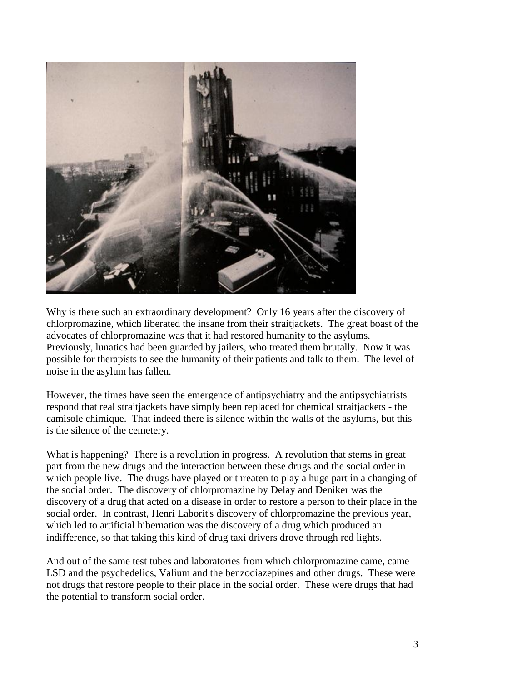

Why is there such an extraordinary development? Only 16 years after the discovery of chlorpromazine, which liberated the insane from their straitjackets. The great boast of the advocates of chlorpromazine was that it had restored humanity to the asylums. Previously, lunatics had been guarded by jailers, who treated them brutally. Now it was possible for therapists to see the humanity of their patients and talk to them. The level of noise in the asylum has fallen.

However, the times have seen the emergence of antipsychiatry and the antipsychiatrists respond that real straitjackets have simply been replaced for chemical straitjackets - the camisole chimique. That indeed there is silence within the walls of the asylums, but this is the silence of the cemetery.

What is happening? There is a revolution in progress. A revolution that stems in great part from the new drugs and the interaction between these drugs and the social order in which people live. The drugs have played or threaten to play a huge part in a changing of the social order. The discovery of chlorpromazine by Delay and Deniker was the discovery of a drug that acted on a disease in order to restore a person to their place in the social order. In contrast, Henri Laborit's discovery of chlorpromazine the previous year, which led to artificial hibernation was the discovery of a drug which produced an indifference, so that taking this kind of drug taxi drivers drove through red lights.

And out of the same test tubes and laboratories from which chlorpromazine came, came LSD and the psychedelics, Valium and the benzodiazepines and other drugs. These were not drugs that restore people to their place in the social order. These were drugs that had the potential to transform social order.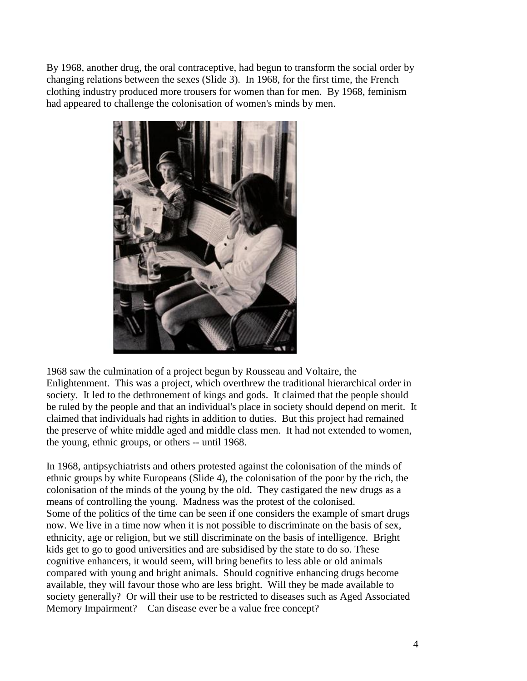By 1968, another drug, the oral contraceptive, had begun to transform the social order by changing relations between the sexes (Slide 3). In 1968, for the first time, the French clothing industry produced more trousers for women than for men. By 1968, feminism had appeared to challenge the colonisation of women's minds by men.



1968 saw the culmination of a project begun by Rousseau and Voltaire, the Enlightenment. This was a project, which overthrew the traditional hierarchical order in society. It led to the dethronement of kings and gods. It claimed that the people should be ruled by the people and that an individual's place in society should depend on merit. It claimed that individuals had rights in addition to duties. But this project had remained the preserve of white middle aged and middle class men. It had not extended to women, the young, ethnic groups, or others -- until 1968.

In 1968, antipsychiatrists and others protested against the colonisation of the minds of ethnic groups by white Europeans (Slide 4), the colonisation of the poor by the rich, the colonisation of the minds of the young by the old. They castigated the new drugs as a means of controlling the young. Madness was the protest of the colonised. Some of the politics of the time can be seen if one considers the example of smart drugs now. We live in a time now when it is not possible to discriminate on the basis of sex, ethnicity, age or religion, but we still discriminate on the basis of intelligence. Bright kids get to go to good universities and are subsidised by the state to do so. These cognitive enhancers, it would seem, will bring benefits to less able or old animals compared with young and bright animals. Should cognitive enhancing drugs become available, they will favour those who are less bright. Will they be made available to society generally? Or will their use to be restricted to diseases such as Aged Associated Memory Impairment? – Can disease ever be a value free concept?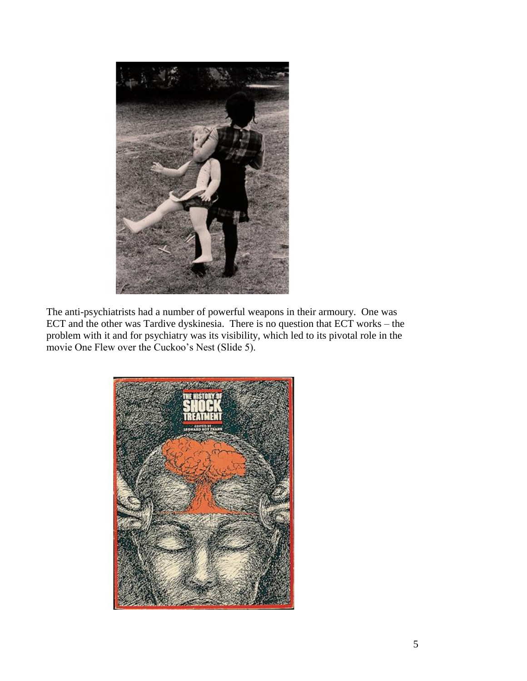

The anti-psychiatrists had a number of powerful weapons in their armoury. One was ECT and the other was Tardive dyskinesia. There is no question that ECT works – the problem with it and for psychiatry was its visibility, which led to its pivotal role in the movie One Flew over the Cuckoo's Nest (Slide 5).

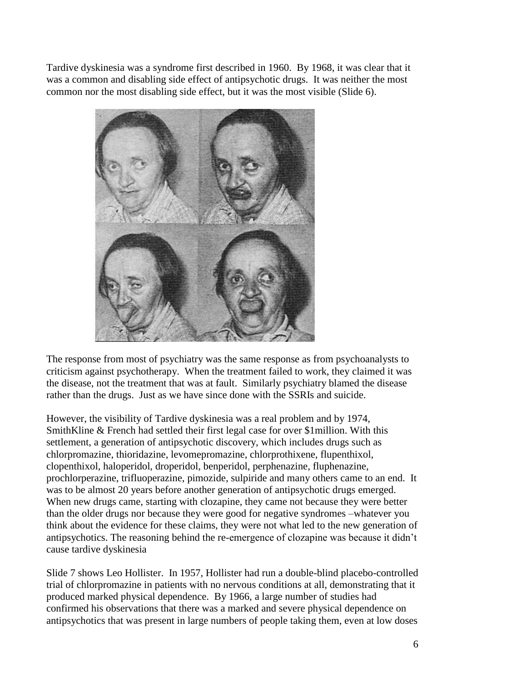Tardive dyskinesia was a syndrome first described in 1960. By 1968, it was clear that it was a common and disabling side effect of antipsychotic drugs. It was neither the most common nor the most disabling side effect, but it was the most visible (Slide 6).



The response from most of psychiatry was the same response as from psychoanalysts to criticism against psychotherapy. When the treatment failed to work, they claimed it was the disease, not the treatment that was at fault. Similarly psychiatry blamed the disease rather than the drugs. Just as we have since done with the SSRIs and suicide.

However, the visibility of Tardive dyskinesia was a real problem and by 1974, SmithKline & French had settled their first legal case for over \$1million. With this settlement, a generation of antipsychotic discovery, which includes drugs such as chlorpromazine, thioridazine, levomepromazine, chlorprothixene, flupenthixol, clopenthixol, haloperidol, droperidol, benperidol, perphenazine, fluphenazine, prochlorperazine, trifluoperazine, pimozide, sulpiride and many others came to an end. It was to be almost 20 years before another generation of antipsychotic drugs emerged. When new drugs came, starting with clozapine, they came not because they were better than the older drugs nor because they were good for negative syndromes –whatever you think about the evidence for these claims, they were not what led to the new generation of antipsychotics. The reasoning behind the re-emergence of clozapine was because it didn't cause tardive dyskinesia

Slide 7 shows Leo Hollister. In 1957, Hollister had run a double-blind placebo-controlled trial of chlorpromazine in patients with no nervous conditions at all, demonstrating that it produced marked physical dependence. By 1966, a large number of studies had confirmed his observations that there was a marked and severe physical dependence on antipsychotics that was present in large numbers of people taking them, even at low doses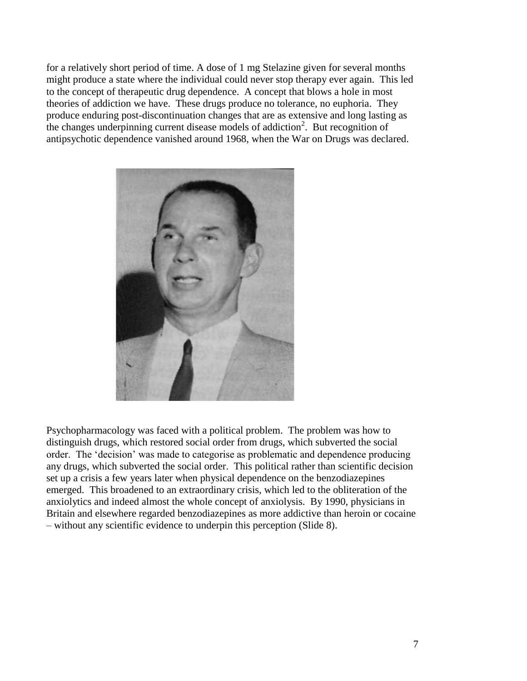for a relatively short period of time. A dose of 1 mg Stelazine given for several months might produce a state where the individual could never stop therapy ever again. This led to the concept of therapeutic drug dependence. A concept that blows a hole in most theories of addiction we have. These drugs produce no tolerance, no euphoria. They produce enduring post-discontinuation changes that are as extensive and long lasting as the changes underpinning current disease models of addiction<sup>2</sup>. But recognition of antipsychotic dependence vanished around 1968, when the War on Drugs was declared.



Psychopharmacology was faced with a political problem. The problem was how to distinguish drugs, which restored social order from drugs, which subverted the social order. The 'decision' was made to categorise as problematic and dependence producing any drugs, which subverted the social order. This political rather than scientific decision set up a crisis a few years later when physical dependence on the benzodiazepines emerged. This broadened to an extraordinary crisis, which led to the obliteration of the anxiolytics and indeed almost the whole concept of anxiolysis. By 1990, physicians in Britain and elsewhere regarded benzodiazepines as more addictive than heroin or cocaine – without any scientific evidence to underpin this perception (Slide 8).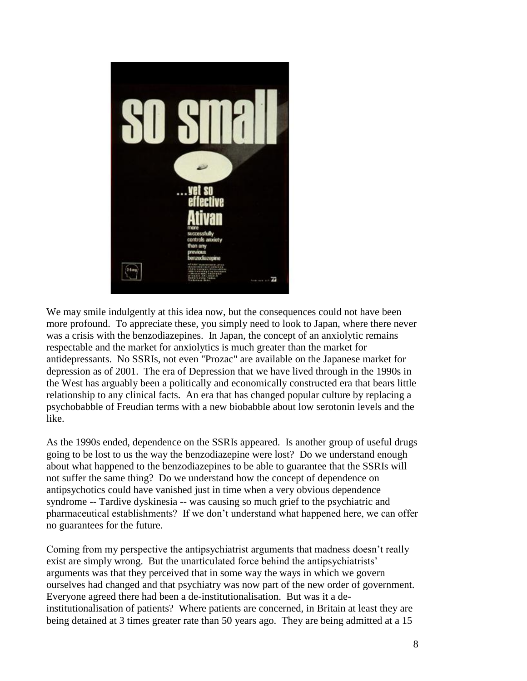

We may smile indulgently at this idea now, but the consequences could not have been more profound. To appreciate these, you simply need to look to Japan, where there never was a crisis with the benzodiazepines. In Japan, the concept of an anxiolytic remains respectable and the market for anxiolytics is much greater than the market for antidepressants. No SSRIs, not even "Prozac" are available on the Japanese market for depression as of 2001. The era of Depression that we have lived through in the 1990s in the West has arguably been a politically and economically constructed era that bears little relationship to any clinical facts. An era that has changed popular culture by replacing a psychobabble of Freudian terms with a new biobabble about low serotonin levels and the like.

As the 1990s ended, dependence on the SSRIs appeared. Is another group of useful drugs going to be lost to us the way the benzodiazepine were lost? Do we understand enough about what happened to the benzodiazepines to be able to guarantee that the SSRIs will not suffer the same thing? Do we understand how the concept of dependence on antipsychotics could have vanished just in time when a very obvious dependence syndrome -- Tardive dyskinesia -- was causing so much grief to the psychiatric and pharmaceutical establishments? If we don't understand what happened here, we can offer no guarantees for the future.

Coming from my perspective the antipsychiatrist arguments that madness doesn't really exist are simply wrong. But the unarticulated force behind the antipsychiatrists' arguments was that they perceived that in some way the ways in which we govern ourselves had changed and that psychiatry was now part of the new order of government. Everyone agreed there had been a de-institutionalisation. But was it a deinstitutionalisation of patients? Where patients are concerned, in Britain at least they are being detained at 3 times greater rate than 50 years ago. They are being admitted at a 15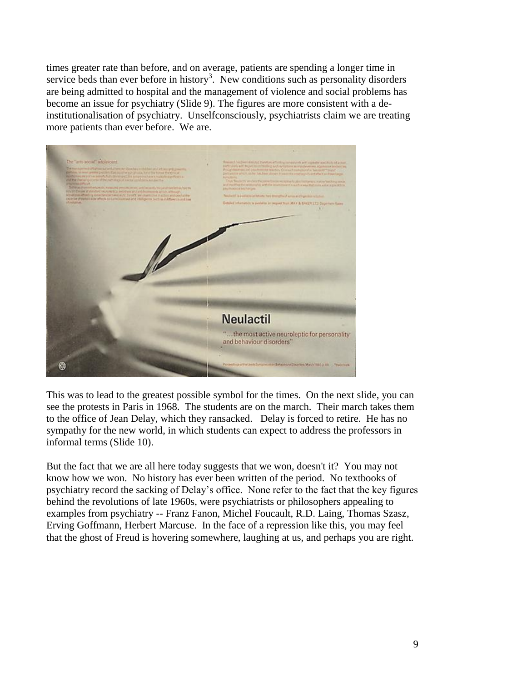times greater rate than before, and on average, patients are spending a longer time in service beds than ever before in history<sup>3</sup>. New conditions such as personality disorders are being admitted to hospital and the management of violence and social problems has become an issue for psychiatry (Slide 9). The figures are more consistent with a deinstitutionalisation of psychiatry. Unselfconsciously, psychiatrists claim we are treating more patients than ever before. We are.



This was to lead to the greatest possible symbol for the times. On the next slide, you can see the protests in Paris in 1968. The students are on the march. Their march takes them to the office of Jean Delay, which they ransacked. Delay is forced to retire. He has no sympathy for the new world, in which students can expect to address the professors in informal terms (Slide 10).

But the fact that we are all here today suggests that we won, doesn't it? You may not know how we won. No history has ever been written of the period. No textbooks of psychiatry record the sacking of Delay's office. None refer to the fact that the key figures behind the revolutions of late 1960s, were psychiatrists or philosophers appealing to examples from psychiatry -- Franz Fanon, Michel Foucault, R.D. Laing, Thomas Szasz, Erving Goffmann, Herbert Marcuse. In the face of a repression like this, you may feel that the ghost of Freud is hovering somewhere, laughing at us, and perhaps you are right.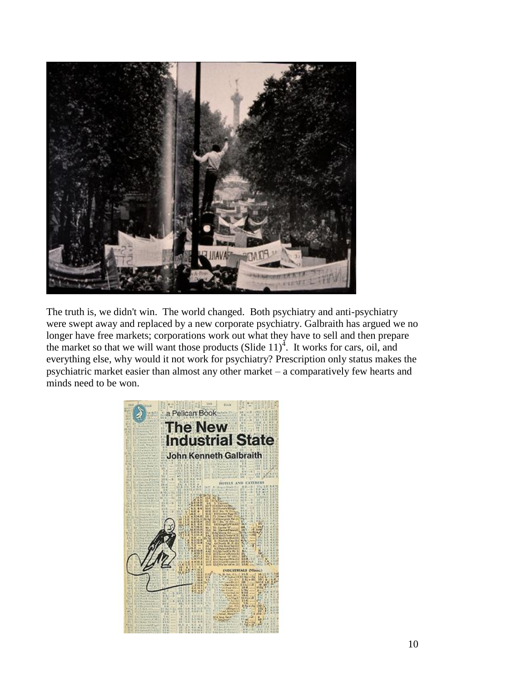

The truth is, we didn't win. The world changed. Both psychiatry and anti-psychiatry were swept away and replaced by a new corporate psychiatry. Galbraith has argued we no longer have free markets; corporations work out what they have to sell and then prepare the market so that we will want those products  $(S$ lide  $11)^{4}$ . It works for cars, oil, and everything else, why would it not work for psychiatry? Prescription only status makes the psychiatric market easier than almost any other market – a comparatively few hearts and minds need to be won.

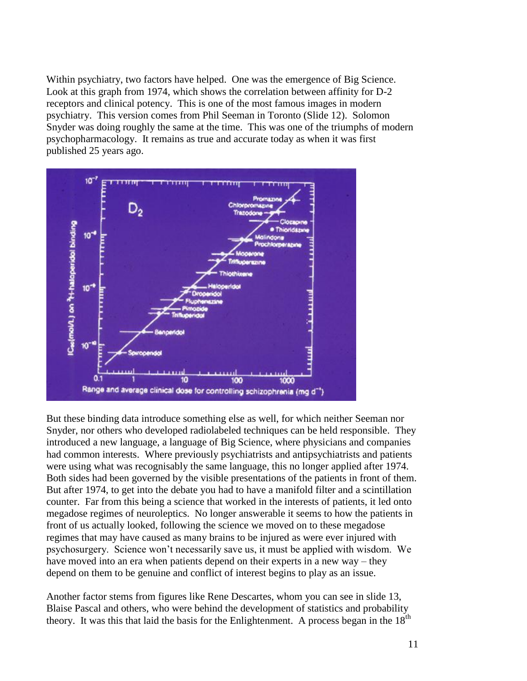Within psychiatry, two factors have helped. One was the emergence of Big Science. Look at this graph from 1974, which shows the correlation between affinity for D-2 receptors and clinical potency. This is one of the most famous images in modern psychiatry. This version comes from Phil Seeman in Toronto (Slide 12). Solomon Snyder was doing roughly the same at the time. This was one of the triumphs of modern psychopharmacology. It remains as true and accurate today as when it was first published 25 years ago.



But these binding data introduce something else as well, for which neither Seeman nor Snyder, nor others who developed radiolabeled techniques can be held responsible. They introduced a new language, a language of Big Science, where physicians and companies had common interests. Where previously psychiatrists and antipsychiatrists and patients were using what was recognisably the same language, this no longer applied after 1974. Both sides had been governed by the visible presentations of the patients in front of them. But after 1974, to get into the debate you had to have a manifold filter and a scintillation counter. Far from this being a science that worked in the interests of patients, it led onto megadose regimes of neuroleptics. No longer answerable it seems to how the patients in front of us actually looked, following the science we moved on to these megadose regimes that may have caused as many brains to be injured as were ever injured with psychosurgery. Science won't necessarily save us, it must be applied with wisdom. We have moved into an era when patients depend on their experts in a new way – they depend on them to be genuine and conflict of interest begins to play as an issue.

Another factor stems from figures like Rene Descartes, whom you can see in slide 13, Blaise Pascal and others, who were behind the development of statistics and probability theory. It was this that laid the basis for the Enlightenment. A process began in the  $18<sup>th</sup>$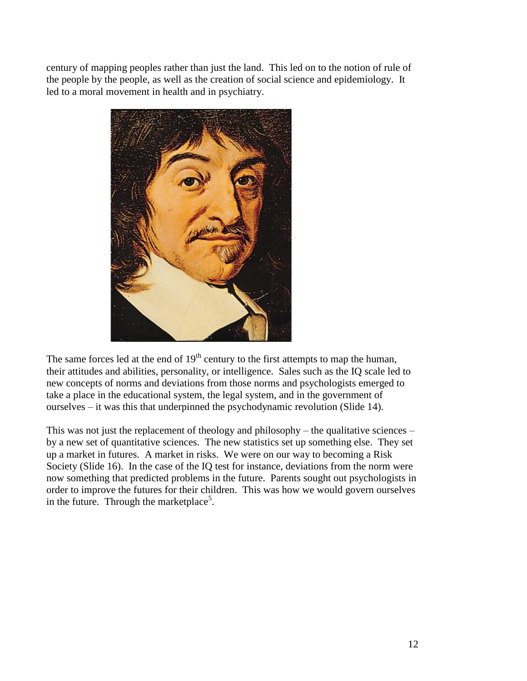century of mapping peoples rather than just the land. This led on to the notion of rule of the people by the people, as well as the creation of social science and epidemiology. It led to a moral movement in health and in psychiatry.



The same forces led at the end of  $19<sup>th</sup>$  century to the first attempts to map the human, their attitudes and abilities, personality, or intelligence. Sales such as the IQ scale led to new concepts of norms and deviations from those norms and psychologists emerged to take a place in the educational system, the legal system, and in the government of ourselves – it was this that underpinned the psychodynamic revolution (Slide 14).

This was not just the replacement of theology and philosophy – the qualitative sciences – by a new set of quantitative sciences. The new statistics set up something else. They set up a market in futures. A market in risks. We were on our way to becoming a Risk Society (Slide 16). In the case of the IQ test for instance, deviations from the norm were now something that predicted problems in the future. Parents sought out psychologists in order to improve the futures for their children. This was how we would govern ourselves in the future. Through the marketplace<sup>5</sup>.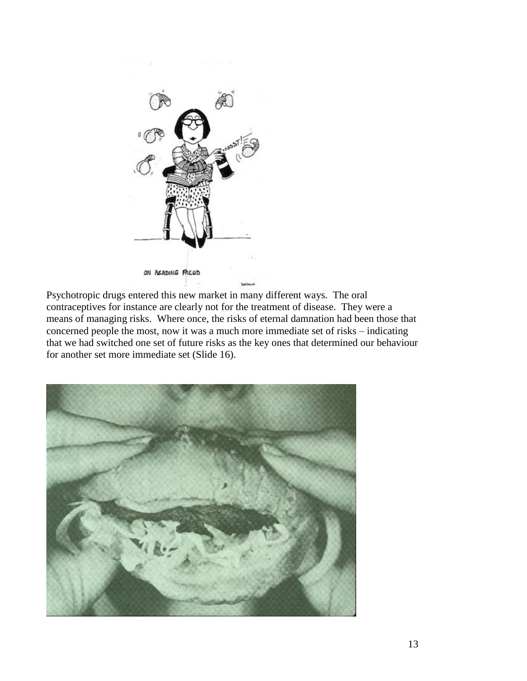

Psychotropic drugs entered this new market in many different ways. The oral contraceptives for instance are clearly not for the treatment of disease. They were a means of managing risks. Where once, the risks of eternal damnation had been those that concerned people the most, now it was a much more immediate set of risks – indicating that we had switched one set of future risks as the key ones that determined our behaviour for another set more immediate set (Slide 16).

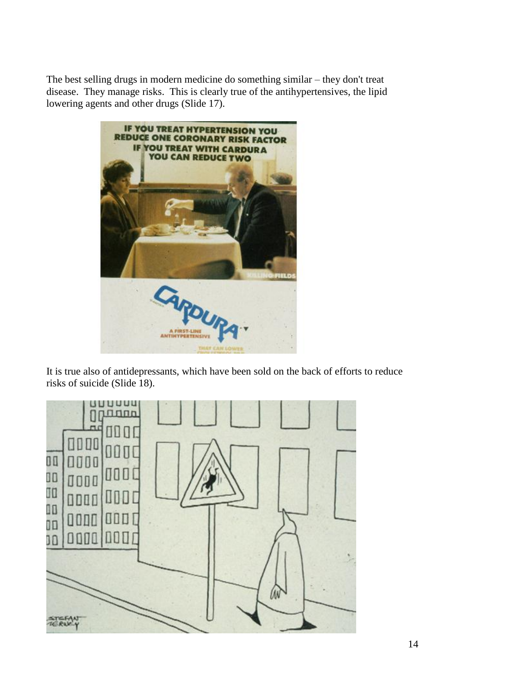The best selling drugs in modern medicine do something similar – they don't treat disease. They manage risks. This is clearly true of the antihypertensives, the lipid lowering agents and other drugs (Slide 17).



It is true also of antidepressants, which have been sold on the back of efforts to reduce risks of suicide (Slide 18).

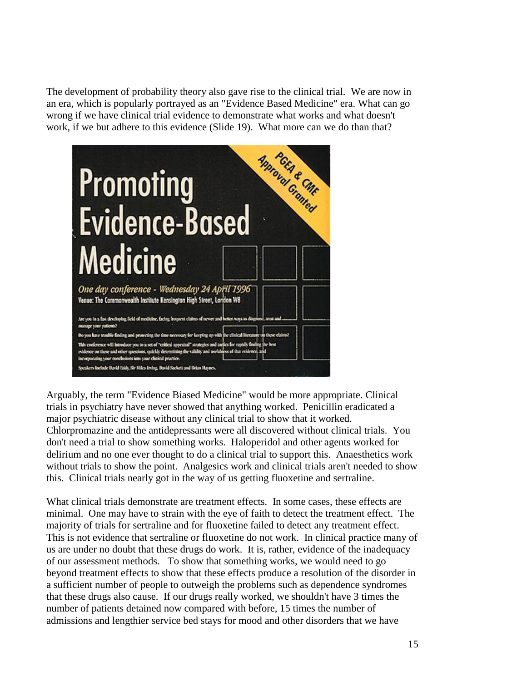The development of probability theory also gave rise to the clinical trial. We are now in an era, which is popularly portrayed as an "Evidence Based Medicine" era. What can go wrong if we have clinical trial evidence to demonstrate what works and what doesn't



Arguably, the term "Evidence Biased Medicine" would be more appropriate. Clinical trials in psychiatry have never showed that anything worked. Penicillin eradicated a major psychiatric disease without any clinical trial to show that it worked. Chlorpromazine and the antidepressants were all discovered without clinical trials. You don't need a trial to show something works. Haloperidol and other agents worked for delirium and no one ever thought to do a clinical trial to support this. Anaesthetics work without trials to show the point. Analgesics work and clinical trials aren't needed to show this. Clinical trials nearly got in the way of us getting fluoxetine and sertraline.

What clinical trials demonstrate are treatment effects. In some cases, these effects are minimal. One may have to strain with the eye of faith to detect the treatment effect. The majority of trials for sertraline and for fluoxetine failed to detect any treatment effect. This is not evidence that sertraline or fluoxetine do not work. In clinical practice many of us are under no doubt that these drugs do work. It is, rather, evidence of the inadequacy of our assessment methods. To show that something works, we would need to go beyond treatment effects to show that these effects produce a resolution of the disorder in a sufficient number of people to outweigh the problems such as dependence syndromes that these drugs also cause. If our drugs really worked, we shouldn't have 3 times the number of patients detained now compared with before, 15 times the number of admissions and lengthier service bed stays for mood and other disorders that we have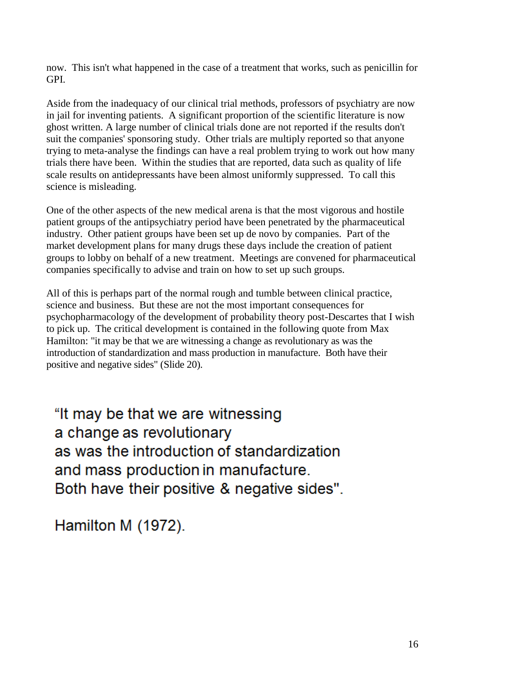now. This isn't what happened in the case of a treatment that works, such as penicillin for GPI.

Aside from the inadequacy of our clinical trial methods, professors of psychiatry are now in jail for inventing patients. A significant proportion of the scientific literature is now ghost written. A large number of clinical trials done are not reported if the results don't suit the companies' sponsoring study. Other trials are multiply reported so that anyone trying to meta-analyse the findings can have a real problem trying to work out how many trials there have been. Within the studies that are reported, data such as quality of life scale results on antidepressants have been almost uniformly suppressed. To call this science is misleading.

One of the other aspects of the new medical arena is that the most vigorous and hostile patient groups of the antipsychiatry period have been penetrated by the pharmaceutical industry. Other patient groups have been set up de novo by companies. Part of the market development plans for many drugs these days include the creation of patient groups to lobby on behalf of a new treatment. Meetings are convened for pharmaceutical companies specifically to advise and train on how to set up such groups.

All of this is perhaps part of the normal rough and tumble between clinical practice, science and business. But these are not the most important consequences for psychopharmacology of the development of probability theory post-Descartes that I wish to pick up. The critical development is contained in the following quote from Max Hamilton: "it may be that we are witnessing a change as revolutionary as was the introduction of standardization and mass production in manufacture. Both have their positive and negative sides" (Slide 20).

"It may be that we are witnessing a change as revolutionary as was the introduction of standardization and mass production in manufacture. Both have their positive & negative sides".

Hamilton M (1972).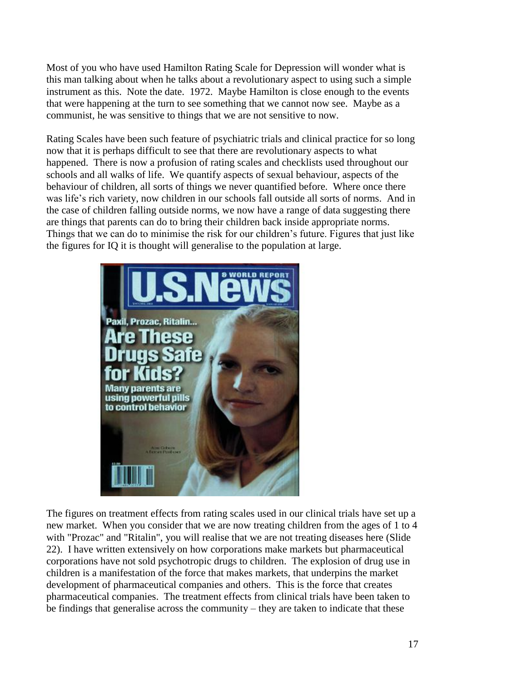Most of you who have used Hamilton Rating Scale for Depression will wonder what is this man talking about when he talks about a revolutionary aspect to using such a simple instrument as this. Note the date. 1972. Maybe Hamilton is close enough to the events that were happening at the turn to see something that we cannot now see. Maybe as a communist, he was sensitive to things that we are not sensitive to now.

Rating Scales have been such feature of psychiatric trials and clinical practice for so long now that it is perhaps difficult to see that there are revolutionary aspects to what happened. There is now a profusion of rating scales and checklists used throughout our schools and all walks of life. We quantify aspects of sexual behaviour, aspects of the behaviour of children, all sorts of things we never quantified before. Where once there was life's rich variety, now children in our schools fall outside all sorts of norms. And in the case of children falling outside norms, we now have a range of data suggesting there are things that parents can do to bring their children back inside appropriate norms. Things that we can do to minimise the risk for our children's future. Figures that just like the figures for IQ it is thought will generalise to the population at large.



The figures on treatment effects from rating scales used in our clinical trials have set up a new market. When you consider that we are now treating children from the ages of 1 to 4 with "Prozac" and "Ritalin", you will realise that we are not treating diseases here (Slide 22). I have written extensively on how corporations make markets but pharmaceutical corporations have not sold psychotropic drugs to children. The explosion of drug use in children is a manifestation of the force that makes markets, that underpins the market development of pharmaceutical companies and others. This is the force that creates pharmaceutical companies. The treatment effects from clinical trials have been taken to be findings that generalise across the community – they are taken to indicate that these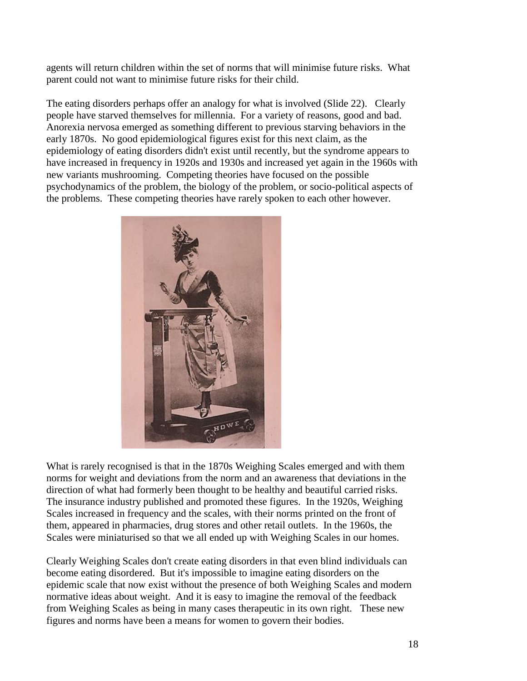agents will return children within the set of norms that will minimise future risks. What parent could not want to minimise future risks for their child.

The eating disorders perhaps offer an analogy for what is involved (Slide 22). Clearly people have starved themselves for millennia. For a variety of reasons, good and bad. Anorexia nervosa emerged as something different to previous starving behaviors in the early 1870s. No good epidemiological figures exist for this next claim, as the epidemiology of eating disorders didn't exist until recently, but the syndrome appears to have increased in frequency in 1920s and 1930s and increased yet again in the 1960s with new variants mushrooming. Competing theories have focused on the possible psychodynamics of the problem, the biology of the problem, or socio-political aspects of the problems. These competing theories have rarely spoken to each other however.



What is rarely recognised is that in the 1870s Weighing Scales emerged and with them norms for weight and deviations from the norm and an awareness that deviations in the direction of what had formerly been thought to be healthy and beautiful carried risks. The insurance industry published and promoted these figures. In the 1920s, Weighing Scales increased in frequency and the scales, with their norms printed on the front of them, appeared in pharmacies, drug stores and other retail outlets. In the 1960s, the Scales were miniaturised so that we all ended up with Weighing Scales in our homes.

Clearly Weighing Scales don't create eating disorders in that even blind individuals can become eating disordered. But it's impossible to imagine eating disorders on the epidemic scale that now exist without the presence of both Weighing Scales and modern normative ideas about weight. And it is easy to imagine the removal of the feedback from Weighing Scales as being in many cases therapeutic in its own right. These new figures and norms have been a means for women to govern their bodies.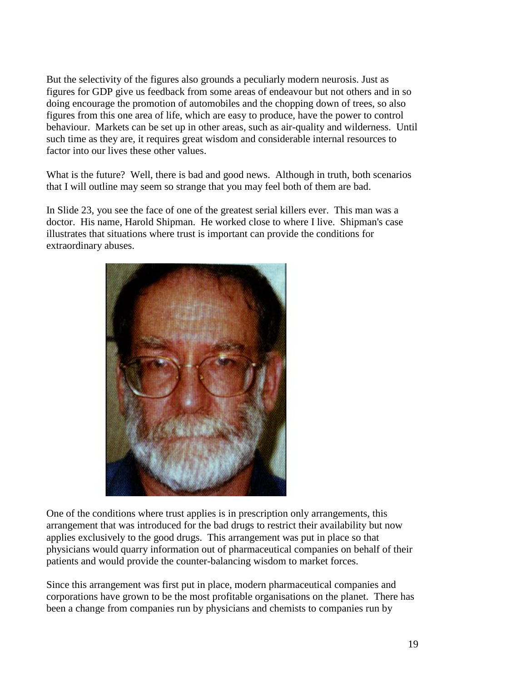But the selectivity of the figures also grounds a peculiarly modern neurosis. Just as figures for GDP give us feedback from some areas of endeavour but not others and in so doing encourage the promotion of automobiles and the chopping down of trees, so also figures from this one area of life, which are easy to produce, have the power to control behaviour. Markets can be set up in other areas, such as air-quality and wilderness. Until such time as they are, it requires great wisdom and considerable internal resources to factor into our lives these other values.

What is the future? Well, there is bad and good news. Although in truth, both scenarios that I will outline may seem so strange that you may feel both of them are bad.

In Slide 23, you see the face of one of the greatest serial killers ever. This man was a doctor. His name, Harold Shipman. He worked close to where I live. Shipman's case illustrates that situations where trust is important can provide the conditions for extraordinary abuses.



One of the conditions where trust applies is in prescription only arrangements, this arrangement that was introduced for the bad drugs to restrict their availability but now applies exclusively to the good drugs. This arrangement was put in place so that physicians would quarry information out of pharmaceutical companies on behalf of their patients and would provide the counter-balancing wisdom to market forces.

Since this arrangement was first put in place, modern pharmaceutical companies and corporations have grown to be the most profitable organisations on the planet. There has been a change from companies run by physicians and chemists to companies run by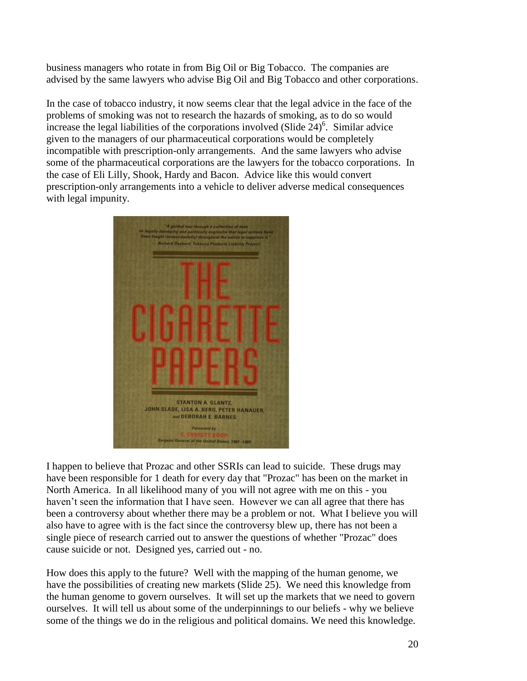business managers who rotate in from Big Oil or Big Tobacco. The companies are advised by the same lawyers who advise Big Oil and Big Tobacco and other corporations.

In the case of tobacco industry, it now seems clear that the legal advice in the face of the problems of smoking was not to research the hazards of smoking, as to do so would increase the legal liabilities of the corporations involved (Slide  $24)^6$ . Similar advice given to the managers of our pharmaceutical corporations would be completely incompatible with prescription-only arrangements. And the same lawyers who advise some of the pharmaceutical corporations are the lawyers for the tobacco corporations. In the case of Eli Lilly, Shook, Hardy and Bacon. Advice like this would convert prescription-only arrangements into a vehicle to deliver adverse medical consequences with legal impunity.



I happen to believe that Prozac and other SSRIs can lead to suicide. These drugs may have been responsible for 1 death for every day that "Prozac" has been on the market in North America. In all likelihood many of you will not agree with me on this - you haven't seen the information that I have seen. However we can all agree that there has been a controversy about whether there may be a problem or not. What I believe you will also have to agree with is the fact since the controversy blew up, there has not been a single piece of research carried out to answer the questions of whether "Prozac" does cause suicide or not. Designed yes, carried out - no.

How does this apply to the future? Well with the mapping of the human genome, we have the possibilities of creating new markets (Slide 25). We need this knowledge from the human genome to govern ourselves. It will set up the markets that we need to govern ourselves. It will tell us about some of the underpinnings to our beliefs - why we believe some of the things we do in the religious and political domains. We need this knowledge.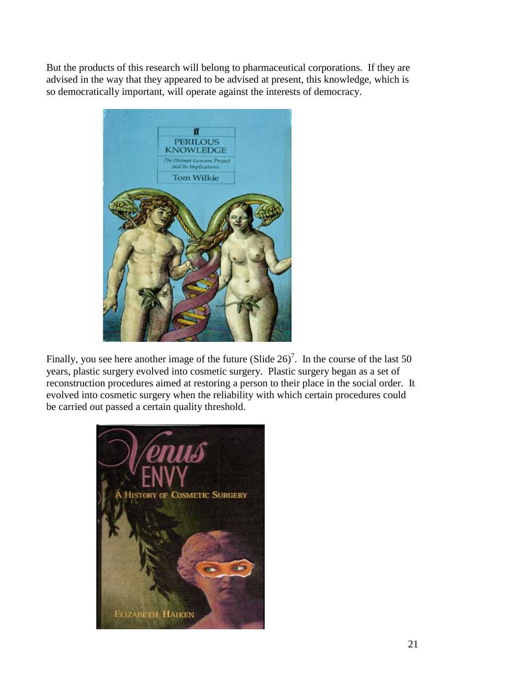But the products of this research will belong to pharmaceutical corporations. If they are advised in the way that they appeared to be advised at present, this knowledge, which is so democratically important, will operate against the interests of democracy.



Finally, you see here another image of the future (Slide  $26$ )<sup>7</sup>. In the course of the last 50 years, plastic surgery evolved into cosmetic surgery. Plastic surgery began as a set of reconstruction procedures aimed at restoring a person to their place in the social order. It evolved into cosmetic surgery when the reliability with which certain procedures could be carried out passed a certain quality threshold.

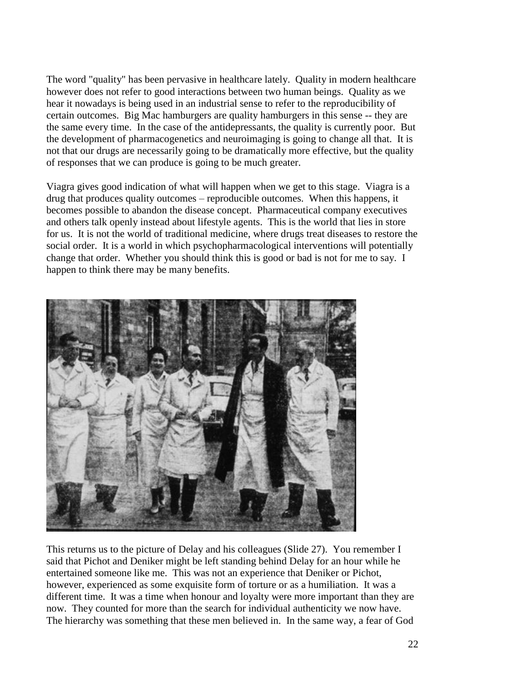The word "quality" has been pervasive in healthcare lately. Quality in modern healthcare however does not refer to good interactions between two human beings. Quality as we hear it nowadays is being used in an industrial sense to refer to the reproducibility of certain outcomes. Big Mac hamburgers are quality hamburgers in this sense -- they are the same every time. In the case of the antidepressants, the quality is currently poor. But the development of pharmacogenetics and neuroimaging is going to change all that. It is not that our drugs are necessarily going to be dramatically more effective, but the quality of responses that we can produce is going to be much greater.

Viagra gives good indication of what will happen when we get to this stage. Viagra is a drug that produces quality outcomes – reproducible outcomes. When this happens, it becomes possible to abandon the disease concept. Pharmaceutical company executives and others talk openly instead about lifestyle agents. This is the world that lies in store for us. It is not the world of traditional medicine, where drugs treat diseases to restore the social order. It is a world in which psychopharmacological interventions will potentially change that order. Whether you should think this is good or bad is not for me to say. I happen to think there may be many benefits.



This returns us to the picture of Delay and his colleagues (Slide 27). You remember I said that Pichot and Deniker might be left standing behind Delay for an hour while he entertained someone like me. This was not an experience that Deniker or Pichot, however, experienced as some exquisite form of torture or as a humiliation. It was a different time. It was a time when honour and loyalty were more important than they are now. They counted for more than the search for individual authenticity we now have. The hierarchy was something that these men believed in. In the same way, a fear of God